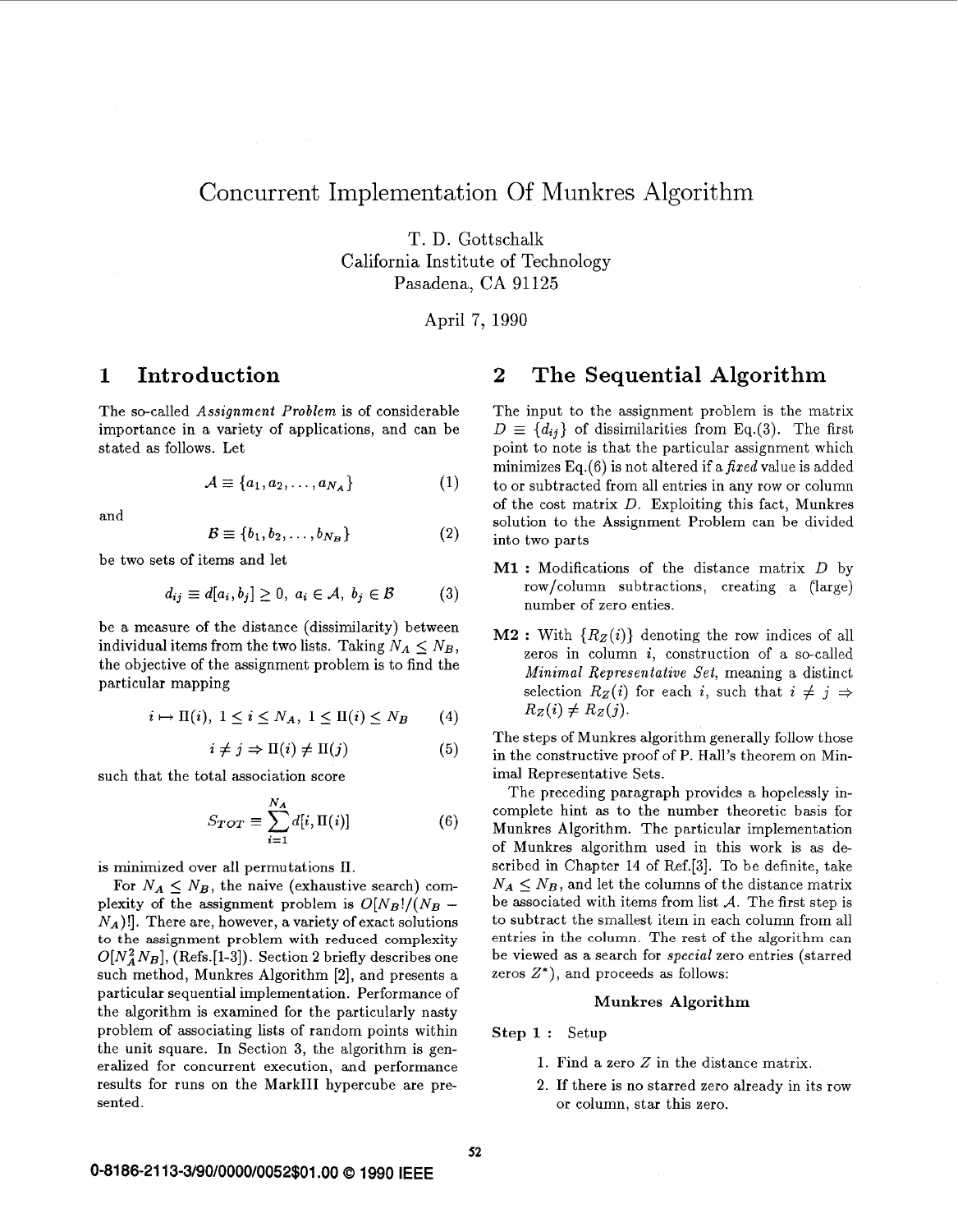# Concurrent Implementation Of Munkres Algorithm

T. D. Gottschalk California Institute of Technology Pasadena, CA 91125

April 7, 1990

The so-called *Assignment Problem* is of considerable importance in a variety of applications, and can be stated **as** follows. Let

$$
\mathcal{A} \equiv \{a_1, a_2, \dots, a_{N_A}\}\tag{1}
$$

and

$$
\mathcal{B} \equiv \{b_1, b_2, \dots, b_{N_B}\}\tag{2}
$$

be two sets of items and let

$$
d_{ij} \equiv d[a_i, b_j] \ge 0, \ a_i \in \mathcal{A}, \ b_j \in \mathcal{B}
$$
 (3)

be a measure of the distance (dissimilarity) between individual items from the two lists. Taking  $N_A \leq N_B$ , the objective of the assignment problem is to find the particular mapping

$$
i \mapsto \Pi(i), \ 1 \le i \le N_A, \ 1 \le \Pi(i) \le N_B \qquad (4)
$$

$$
i \neq j \Rightarrow \Pi(i) \neq \Pi(j) \tag{5}
$$

such that the total association score

$$
S_{TOT} \equiv \sum_{i=1}^{N_A} d[i, \Pi(i)] \tag{6}
$$

is minimized over all permutations II.

For  $N_A \leq N_B$ , the naive (exhaustive search) complexity of the assignment problem is  $O[N_B]/(N_B N_A$ )!]. There are, however, a variety of exact solutions to the assignment problem with **reduced complexity**   $O[N_A^2 N_B]$ , (Refs.[1-3]). Section 2 briefly describes one such method, Munkres Algorithm *[2],* and presents a particular sequential implementation. Performance of the algorithm is examined for the particularly nasty problem of associating lists of random points within the unit square. In Section 3, the algorithm is generalized for concurrent execution, and performance results for runs on the Mark111 hypercube are presented.

## **1 Introduction 2 The Sequential Algorithm**

The input to the assignment problem is the matrix  $D \equiv \{d_{ij}\}\$ of dissimilarities from Eq.(3). The first point to note is that the particular assignment which minimizes  $Eq.(6)$  is not altered if a *fixed* value is added to or subtracted from all entries in any row or column of the cost matrix *D.* Exploiting this fact, Munkres solution to the Assignment Problem can be divided into two parts

- **M1** : Modifications of the distance matrix *D* by row/column subtractions, creating a (large) number of zero enties.
- **M2** : With  ${R_z(i)}$  denoting the row indices of all zeros in column *i,* construction of a so-called *Minimal Representative Set,* meaning *a* distinct selection  $R_Z(i)$  for each *i*, such that  $i \neq j \Rightarrow$  $R_Z(i) \neq R_Z(j)$ .

The steps of Munkres algorithm generally follow those in the constructive proof of P. Hall's theorem on Minimal Representative Sets.

The preceding paragraph provides a hopelessly incomplete hint as to the number theoretic basis for Munkres Algorithm. The particular implementation of Munkres algorithm used in this work is as described in Chapter 14 of Ref.[3]. To be definite, take  $N_A \leq N_B$ , and let the columns of the distance matrix be associated with items from list *A.* The first step is to subtract the smallest item in each column from all entries in the column. The **rest** of the algorithm can be viewed as a search for *special* zero entries (starred zeros *Z\*),* and proceeds **as** follows:

## **Munkres Algorithm**

**Step 1** : Setup

- 1. Find a zero *Z* in the distance matrix.
- **2.** If there is no starred zero already in its row or column, star this zero.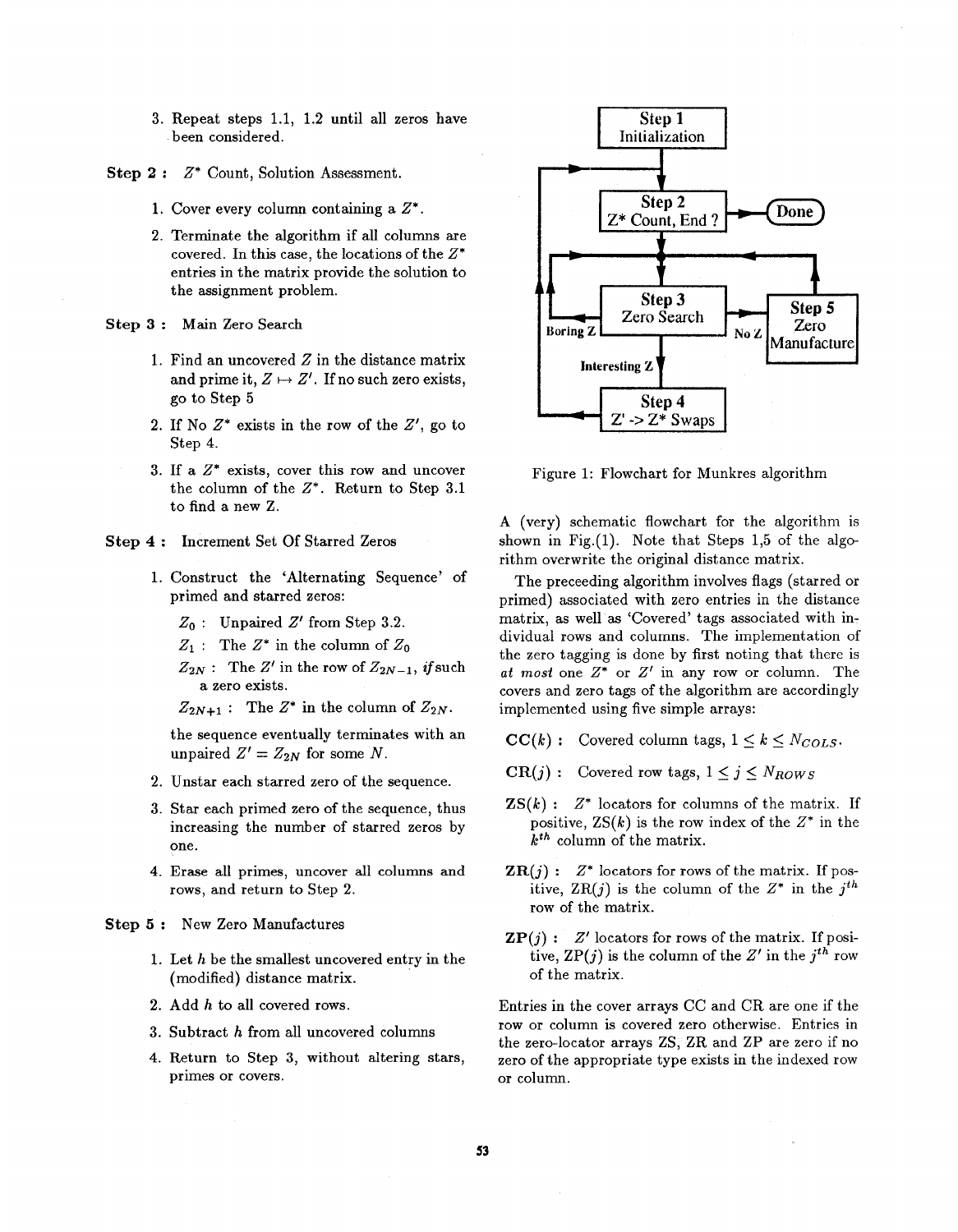- **3.** Repeat steps **1.1, 1.2** until all zeros have been considered.
- **Step 2** : *Z\** Count, Solution Assessment.
	- **1.** Cover every column containing a *Z\** .
	- 2. Terminate the algorithm if all columns are covered. In this case, the locations of the *Z\**  entries in the matrix provide the solution to the assignment problem.
- **Step 3** : Main Zero Search
	- 1. Find an uncovered *Z* in the distance matrix and prime it,  $Z \mapsto Z'$ . If no such zero exists, go to Step **5**
	- **2.** If No *Z\** exists in the row of the *Z',* go to Step **4.**
	- 3. If a *Z\** exists, cover this row and uncover the column of the *Z\*.* Return to Step 3.1 to find a new Z.
- **Step 4** : Increment Set Of Starred Zeros
	- 1. Construct the 'Alternating Sequence' of primed and starred zeros:
		- *2,* : Unpaired *2'* from Step **3.2.**
		- $Z_1$  : The  $Z^*$  in the column of  $Z_0$
		- $Z_{2N}$ : The Z' in the row of  $Z_{2N-1}$ , **if** such a zero exists.

 $Z_{2N+1}$ : The  $Z^*$  in the column of  $Z_{2N}$ .

the sequence eventually terminates with an unpaired  $Z' = Z_{2N}$  for some N.

- 2. Unstar each starred zero of the sequence.
- 3. Star each primed zero of the sequence, thus increasing the number of starred zeros by one.
- **4.** Erase all primes, uncover all columns and rows, and return to Step 2.

**Step** *5* : New Zero Manufactures

- 1. Let *h* be the smallest uncovered entry in the (modified) distance matrix.
- **2.** Add *h* to all covered rows.
- **3.** Subtract *h* from all uncovered columns
- **4.** Return to Step **3,** without altering stars, primes or covers.



Figure 1: Flowchart for Munkres algorithm

**A** (very) schematic flowchart for the algorithm is shown in Fig. $(1)$ . Note that Steps 1,5 of the algorithm overwrite the original distance matrix.

The preceeding algorithm involves flags (starred or primed) associated with zero entries in the distance matrix, as well as 'Covered' tags associated with individual rows and columns. The implementation of the zero tagging is done by first noting that there is *at most* one *Z\** or *Z'* in any row or column. The covers and zero tags of the algorithm are accordingly implemented using five simple arrays:

- $CC(k)$ : Covered column tags,  $1 \le k \le N_{COLS}$ .
- $CR(j):$  Covered row tags,  $1 \leq j \leq N_{Rows}$
- $\mathbf{ZS}(k)$ :  $Z^*$  locators for columns of the matrix. If positive,  $ZS(k)$  is the row index of the  $Z^*$  in the *kth* column of the matrix.
- $\mathbf{ZR}(j)$ :  $Z^*$  locators for rows of the matrix. If positive,  $ZR(j)$  is the column of the  $Z^*$  in the  $j^{th}$ row of the matrix.
- $\mathbf{ZP}(j)$ :  $Z'$  locators for rows of the matrix. If positive,  $\text{ZP}(j)$  is the column of the  $Z'$  in the  $j^{th}$  row of the matrix.

Entries in the cover arrays CC and CR are one if the row or column is covered zero otherwise. Entries in the zero-locator arrays ZS, ZR and ZP are zero if no zero of the appropriate type exists in the indexed row or column.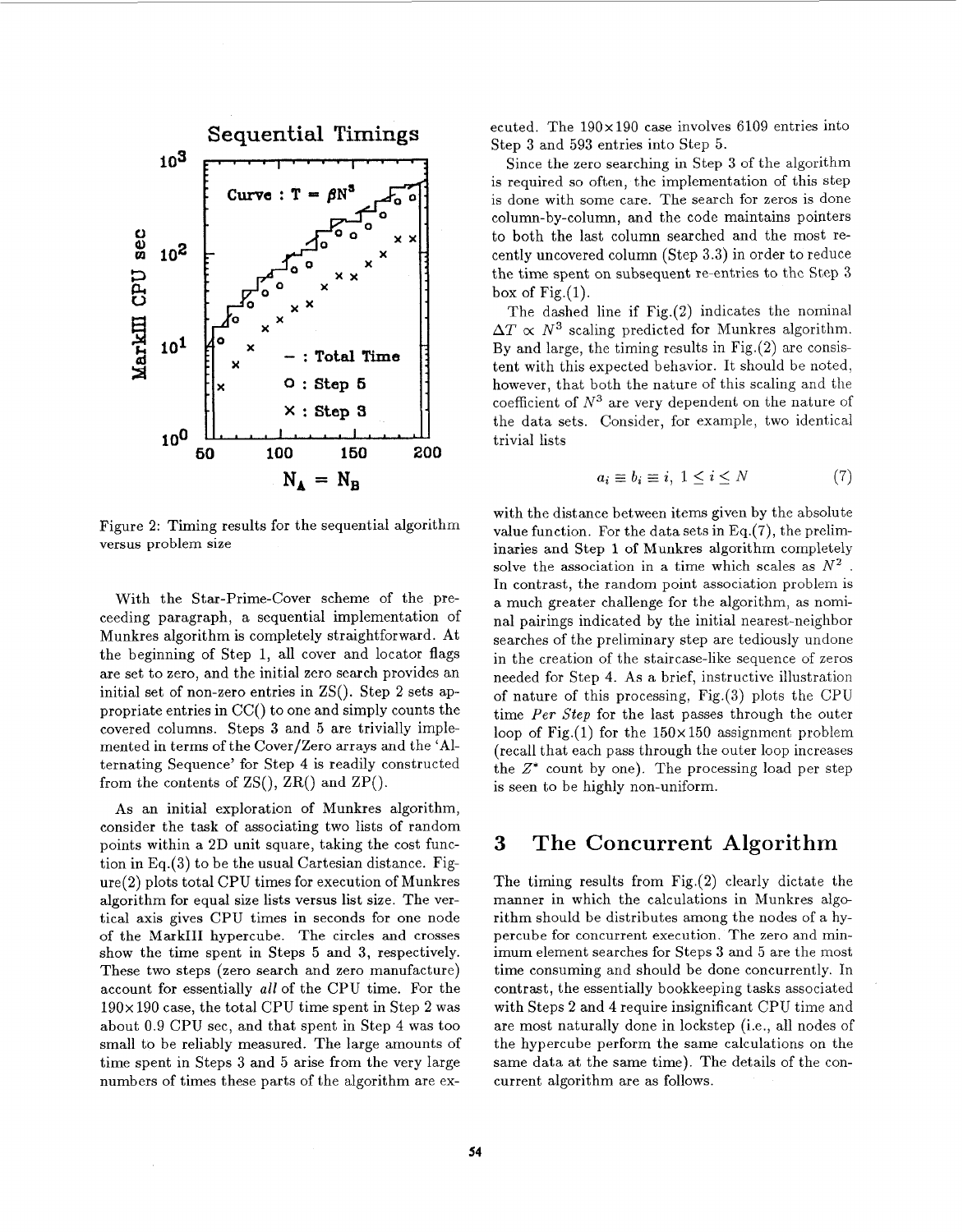

Figure 2: Timing results for the sequential algorithm versus problem size

With the Star-Prime-Cover scheme of the preceeding paragraph, a sequential implementation of Munkres algorithm is completely straightforward. At the beginning of Step 1, all cover and locator flags are set to zero, and the initial zero search provides an initial set of non-zero entries in ZS(). Step 2 sets appropriate entries in CC() to one and simply counts the covered columns. Steps **3** and 5 are trivially implemented in terms of the Cover/Zero arrays and the 'Alternating Sequence' for Step **4** is readily constructed from the contents of  $\text{ZS}($ ,  $\text{ZR}($ ) and  $\text{ZP}()$ .

As an initial exploration of Munkres algorithm, consider the task of associating two lists of random points within a 2D unit square, taking the cost function in Eq.(3) to be the usual Cartesian distance. Figure(2) plots total CPU times for execution of Munkres algorithm for equal size lists versus list size. The vertical axis gives CPU times in seconds for one node of the Mark111 hypercube. The circles and crosses show the time spent in Steps **5** and **3,** respectively. These two steps (zero search and zero manufacture) account for essentially *all* of the CPU time. For the 190x 190 case, the total CPU time spent in Step 2 was about 0.9 CPU sec, and that spent in Step **4** was too small to be reliably measured. The large amounts of time spent in Steps **3** and 5 arise from the very large numbers of times these parts of the algorithm are executed. The  $190 \times 190$  case involves 6109 entries into Step **3** and **593** entries into Step **5.** 

Since the zero searching in Step **3** of the algorithm is required so often, the implementation of this step is done with some care. The search for zeros is done column-by-column, and the code maintains pointers to both the last column searched and the most recently uncovered column (Step **3.3)** in order to reduce the time spent on subsequent re-entries to thc Step **3**  box of  $Fig.(1)$ .

The dashed line if  $Fig.(2)$  indicates the nominal  $\Delta T \propto N^3$  scaling predicted for Munkres algorithm. By and large, the timing results in Fig.(2) are consistent with this expected behavior. It should be noted, however, that both the nature of this scaling and the coefficient of  $N^3$  are very dependent on the nature of the data sets. Consider, for example, two identical trivial lists

$$
a_i \equiv b_i \equiv i, \ 1 \le i \le N \tag{7}
$$

with the distance between items given by the absolute value function. For the data sets in Eq.(7), the preliminaries and Step 1 of Munkres algorithm completely solve the association in a time which scales as *N2* . In contrast, the random point association problem is a much greater challenge for the algorithm, as nominal pairings indicated by the initial nearest-neighbor searches of the preliminary step are tediously undone in the creation of the staircase-like sequence of zeros needed for Step 4. As a brief, instructive illustration of nature of this processing, Fig.(3) plots the CPU time *Per Step* for the last passes through the outer loop of Fig.(1) for the  $150 \times 150$  assignment problem (recall that each pass through the outer loop increases the  $Z^*$  count by one). The processing load per step is seen to be highly non-uniform.

## **3 The Concurrent Algorithm**

The timing results from  $Fig.(2)$  clearly dictate the manner in which the calculations in Munkres algorithm should be distributes among the nodes of a hypercube for concurrent execution. The zero and minimum element searches for Steps **3** and **5** are the most time consuming and should be done concurrently. In contrast, the essentially bookkeeping tasks associated with Steps **2** and **4** require insignificant CPU time and are most naturally done in lockstep (i.e., all nodes of the hypercube perform the same calculations on the same data at the same time). The details of the concurrent algorithm are as follows.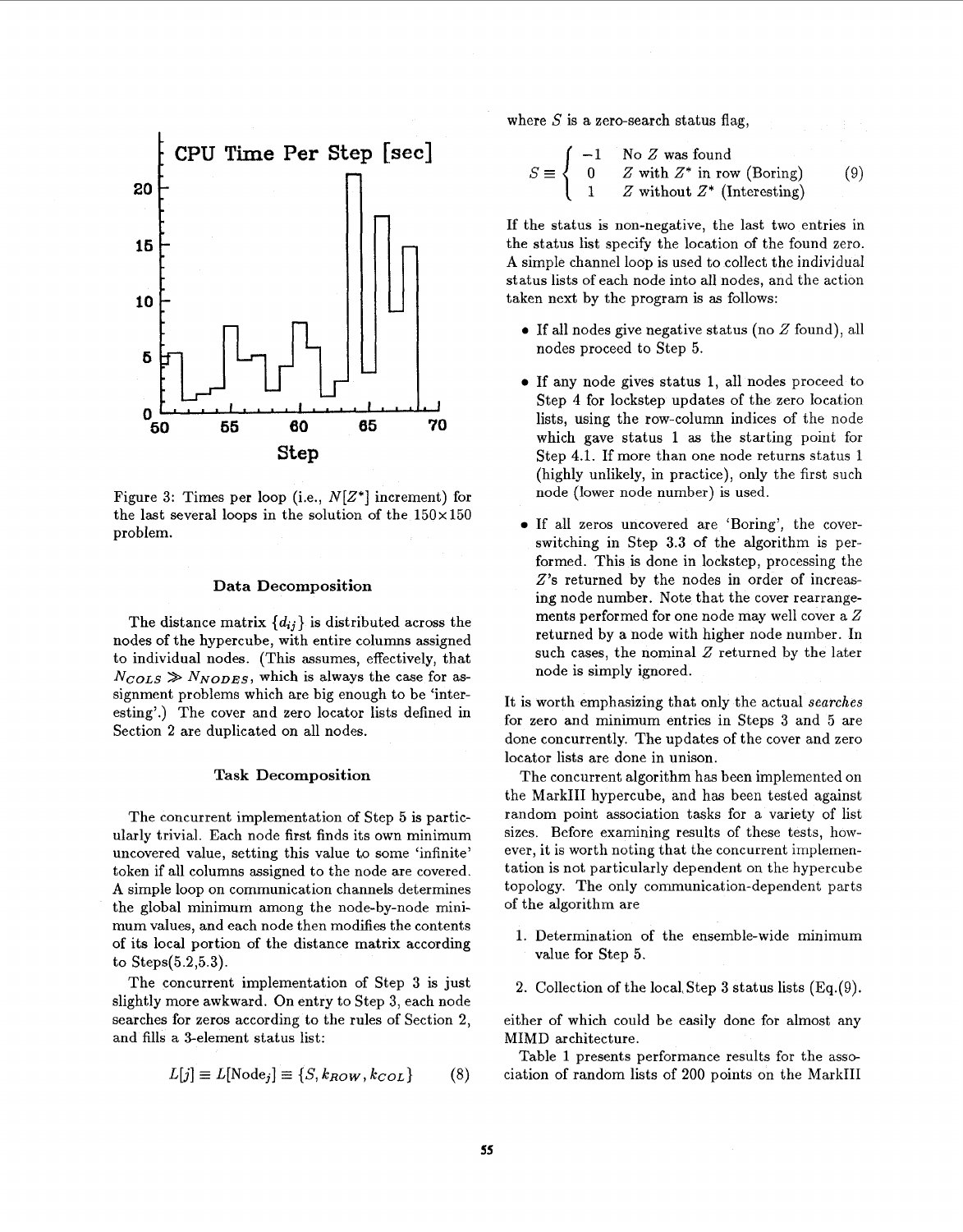

Figure **3:** Times per loop (i.e., *N[Z\*]* increment) for the last several loops in the solution of the  $150\times150$ problem.

## **Data Decomposition**

The distance matrix  ${d_{ij}}$  is distributed across the nodes of the hypercube, with entire columns assigned to individual nodes. (This assumes, effectively, that  $N_{COLS} \gg N_{NODES}$ , which is always the case for assignment problems which are big enough to be 'interesting'.) The cover and zero locator lists defined in Section 2 are duplicated on all nodes.

## **Task Decomposition**

The concurrent implementation of Step 5 is particularly trivial. Each node first finds its own minimum uncovered value, setting this value to some 'infinite' token if all columns assigned to the node are covered. **A** simple loop on communication channels determines the global minimum among the node-by-node minimum values, and each node then modifies the contents of its local portion of the distance matrix according to Steps(5.2,5.3).

The concurrent implementation of Step **3** is just slightly more awkward. On entry to Step **3,** each node searches for zeros according to the rules of Section 2, and fills a 3-element status list:

$$
L[j] \equiv L[\text{Node}_j] \equiv \{S, k_{ROW}, k_{COL}\} \tag{8}
$$

where  $S$  is a zero-search status flag.

$$
S \equiv \begin{cases} -1 & \text{No } Z \text{ was found} \\ 0 & Z \text{ with } Z^* \text{ in row (Boring)} \\ 1 & Z \text{ without } Z^* \text{ (Interestingly)} \end{cases} \tag{9}
$$

If the status is non-negative, the last two entries in the status list specify the location of the found zero. **A** simple channel loop is used to collect the individual status lists of each node into all nodes, and the action taken next by the program is **as** follows:

- *<sup>0</sup>*If all nodes give negative status (no *2* found), all nodes proceed to Step 5.
- *<sup>0</sup>*If any node gives status 1, all nodes proceed to Step **4** for lockstep updates of the zero location lists, using the row-column indices of the node which gave status 1 **as** the starting point for Step **4.1.** If more than one node returns status 1 (highly unlikely, in practice), only the first such node (lower node number) is used.
- *0* If all zeros uncovered are 'Boring', the coverswitching in Step **3.3** of the algorithm is performed. This is done in lockstep, processing the *2's* returned by the nodes in order of increasing node number. Note that the cover rearrangements performed for one node may well cover a *2*  returned by a node with higher node number. In such cases, the nominal *2* returned by the later node is simply ignored.

It is worth emphasizing that only the actual *searches*  for zero and minimum entries in Steps 3 and 5 are done concurrently. The updates of the cover and zero locator lists are done in unison.

The concurrent algorithm has been implemented on the MarkIII hypercube, and has been tested against random point association tasks for a variety of list sizes. Before examining results of these tests, however, it is worth noting that the concurrent implementation is not particularly dependent on the hypercube topology. The only communication-dependent parts of the algorithm are

- 1. Determination of the ensemble-wide minimum value for Step 5.
- 2. Collection of the loca1,Step **3** status lists (Eq.(9).

either of which could be easily done for almost any MIMD architecture.

Table 1 presents performance results for the association of random lists of 200 points on the MarkIII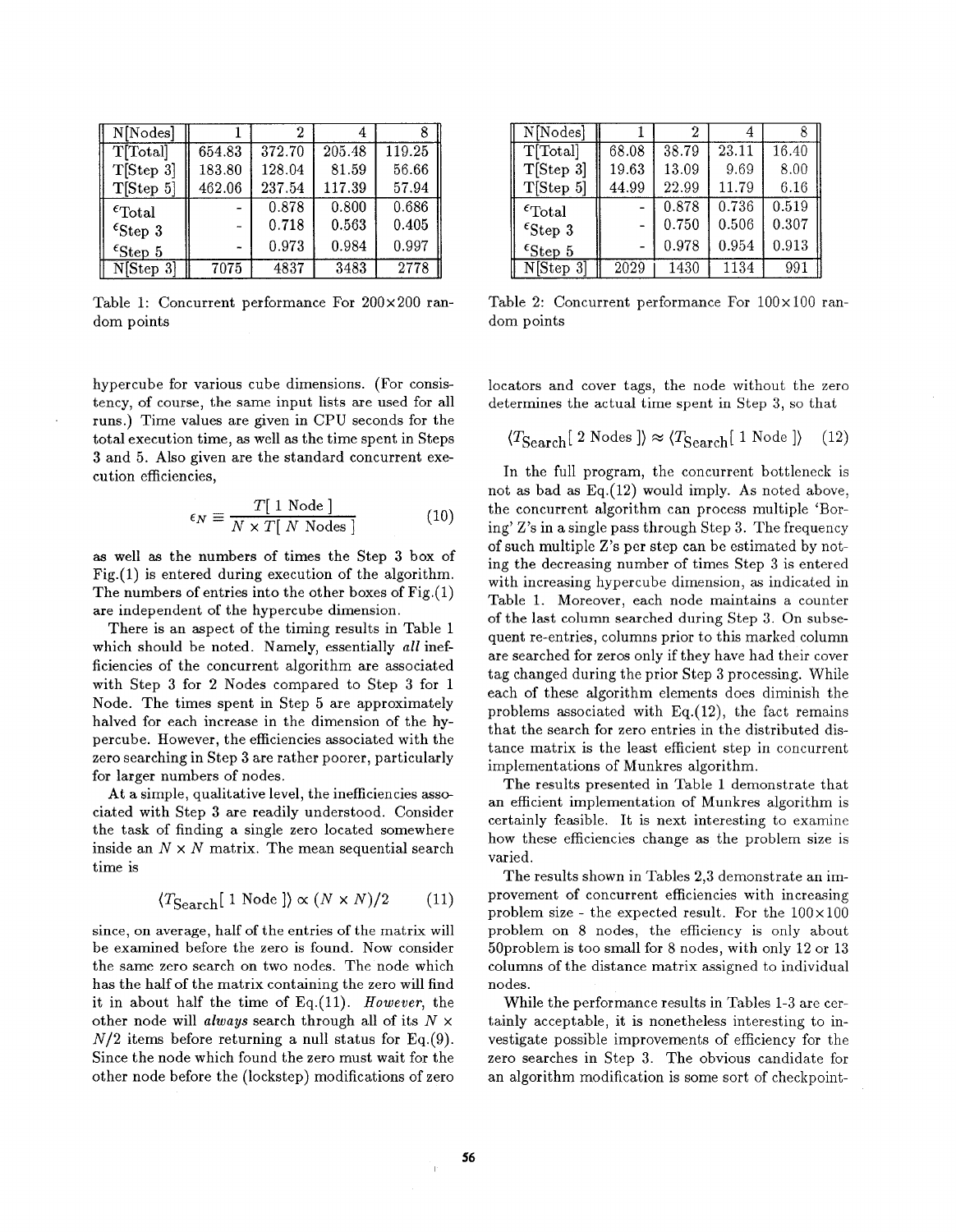| N[Nodes]                  |                |        |        |        |
|---------------------------|----------------|--------|--------|--------|
| T[Total]                  | 654.83         | 372.70 | 205.48 | 119.25 |
| T[Step 3]                 | 183.80         | 128.04 | 81.59  | 56.66  |
| T[Step 5]                 | 462.06         | 237.54 | 117.39 | 57.94  |
| $\epsilon_{\text{Total}}$ |                | 0.878  | 0.800  | 0.686  |
| $\epsilon$ Step 3         |                | 0.718  | 0.563  | 0.405  |
| $\epsilon$ Step 5         | $\blacksquare$ | 0.973  | 0.984  | 0.997  |
| N[Step 3]                 | 7075           | 4837   | 3483   | 2778   |

Table 1: Concurrent performance For 200×200 random points

hypercube for various cube dimensions. (For consistency, of course, the same input lists are used for all runs.) Time values are given in CPU seconds for the total execution time, as well **as** the time spent in Steps 3 and 5. Also given are the standard concurrent execution efficiencies,

$$
\epsilon_N \equiv \frac{T[1 \text{ Node}]}{N \times T[ N \text{ Nodes} ]}
$$
 (10)

**as** well **as** the numbers of times the Step 3 box of Fig.(l) is entered during execution of the algorithm. The numbers of entries into the other boxes of  $Fig.(1)$ are independent of the hypercube dimension.

There is an aspect of the timing results in Table 1 which should be noted. Namely, essentially *all* inefficiencies of the concurrent algorithm are associated with Step 3 for 2 Nodes compared to Step 3 for 1 Node. The times spent in Step 5 are approximately halved for each increase in the dimension of the hypercube. However, the efficiencies associated with the zero searching in Step 3 are rather poorer, particularly for larger numbers of nodes.

At a simple, qualitative level, the inefficiencies associated with Step 3 are readily understood. Consider the task of finding a single zero located somewhere inside an  $N \times N$  matrix. The mean sequential search time is

$$
\langle T_{\text{Search}}[1 \text{ Node }] \rangle \propto (N \times N)/2 \tag{11}
$$

since, on average, half of the entries of the matrix will be examined before the zero is found. Now consider the same zero search on two nodes. The node which has the half of the matrix containing the zero will find it in about half the time of Eq.(ll). *However,* the other node will *always* search through all of its *N* x  $N/2$  items before returning a null status for Eq.(9). Since the node which found the zero must wait for the other node before the (lockstep) modifications of zero

| N[Nodes]                  |       |       |       |       |
|---------------------------|-------|-------|-------|-------|
| T[Total]                  | 68.08 | 38.79 | 23.11 | 16.40 |
| T[Step 3]                 | 19.63 | 13.09 | 9.69  | 8.00  |
| T[Step 5]                 | 44.99 | 22.99 | 11.79 | 6.16  |
| $\epsilon_{\text{Total}}$ |       | 0.878 | 0.736 | 0.519 |
| $\epsilon$ Step 3         |       | 0.750 | 0.506 | 0.307 |
| $\epsilon$ Step 5         |       | 0.978 | 0.954 | 0.913 |
| N[Step 3]                 | 2029  | 1430  | 1134  | 991   |

Table 2: Concurrent performance For  $100 \times 100$  random points

locators and cover tags, the node without the zero determines the actual time spent in Step 3, *so* that

$$
\langle T_{\text{Search}}[ 2 \text{ Nodes } ] \rangle \approx \langle T_{\text{Search}}[ 1 \text{ Node } ] \rangle \quad (12)
$$

In the full program, the concurrent bottleneck is not as bad as Eq.(12) would imply. As noted above, the concurrent algorithm can process multiple 'Boring' Z's in a single pass through Step 3. The frequency of such multiple Z's per step can be estimated by noting the decreasing number of times Step **3** is entered with increasing hypercube dimension, as indicated in Table 1. Moreover, each node maintains a counter of the last column searched during Step 3. On subsequent re-entries, columns prior to this marked column are searched for zeros only if they have had their cover tag changed during the prior Step 3 processing. While each of these algorithm elements does diminish the problems associated with  $Eq.(12)$ , the fact remains that the search for zero entries in the distributed distance matrix is the least efficient step in concurrent implementations of Munkres algorithm.

The results presented in Table 1 demonstrate that an efficient implementation of Munkres algorithm is certainly feasible. It is next interesting to examine how these efficiencies change as the problem size is varied.

The results shown in Tables 2,3 demonstrate an improvement of concurrent efficiencies with increasing problem size - the expected result. For the  $100 \times 100$ problem on 8 nodes, the efficiency is only about 50problem is too small for 8 nodes, with only 12 or 13 columns of the distance matrix assigned to individual nodes.

While the performance results in Tables 1-3 are certainly acceptable, it is nonetheless interesting to investigate possible improvements of efficiency for the zero searches in Step 3. The obvious candidate for an algorithm modification is some sort of checkpoint-